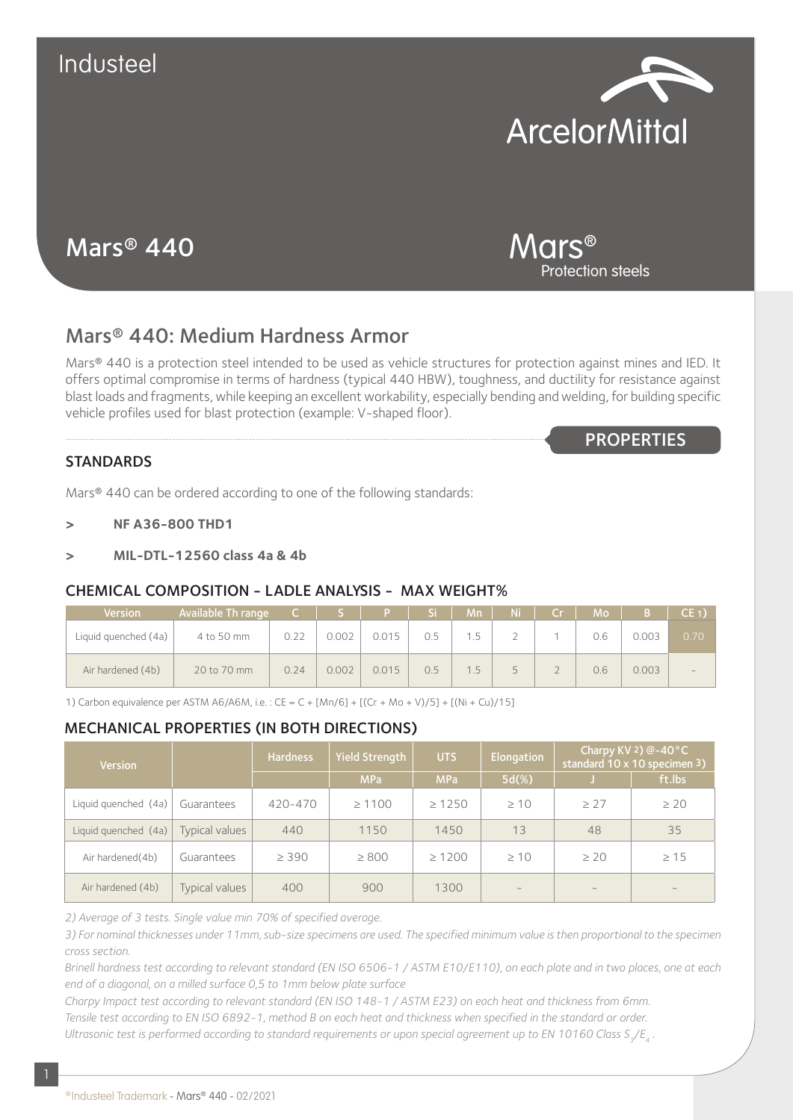

# Mars® 440

Mars® Protection steels

**PROPERTIES** 

## Mars® 440: Medium Hardness Armor

Mars® 440 is a protection steel intended to be used as vehicle structures for protection against mines and IED. It offers optimal compromise in terms of hardness (typical 440 HBW), toughness, and ductility for resistance against blast loads and fragments, while keeping an excellent workability, especially bending and welding, for building specific vehicle profiles used for blast protection (example: V-shaped floor).

### **STANDARDS**

Mars® 440 can be ordered according to one of the following standards:

- **> NF A36-800 THD1**
- **> MIL-DTL-12560 class 4a & 4b**

### CHEMICAL COMPOSITION - LADLE ANALYSIS - MAX WEIGHT%

| <b>Version</b>       | Available Th range | $\mathsf{C}$ . |       |       | Si. | Mn. | Ni .      | Cr | <b>Mo</b> |       | CE <sub>1</sub> |
|----------------------|--------------------|----------------|-------|-------|-----|-----|-----------|----|-----------|-------|-----------------|
| Liquid quenched (4a) | 4 to 50 mm         | 0.22           | 0.002 | 0.015 | 0.5 | 1.5 | $\bigcap$ |    | 0.6       | 0.003 | 0.70            |
| Air hardened (4b)    | 20 to 70 mm        | 0.24           | 0.002 | 0.015 | 0.5 | 1.5 | Б.        |    | 0.6       | 0.003 |                 |

1) Carbon equivalence per ASTM A6/A6M, i.e. : CE = C + [Mn/6] + [(Cr + Mo + V)/5] + [(Ni + Cu)/15]

### MECHANICAL PROPERTIES (IN BOTH DIRECTIONS)

| <b>Version</b>       |                | <b>Hardness</b> | Yield Strength | <b>UTS</b>  | Elongation        | Charpy KV 2) $@-40°C$<br>standard 10 x 10 specimen 3) |           |  |
|----------------------|----------------|-----------------|----------------|-------------|-------------------|-------------------------------------------------------|-----------|--|
|                      |                |                 | <b>MPa</b>     | <b>MPa</b>  | $5d(\%)$          |                                                       | ft.lbs    |  |
| Liquid quenched (4a) | Guarantees     | 420-470         | $\geq 1100$    | $\geq 1250$ | $\geq 10$         | $\geq$ 27                                             | $\geq 20$ |  |
| Liquid quenched (4a) | Typical values | 440             | 1150           | 1450        | 13                | 48                                                    | 35        |  |
| Air hardened(4b)     | Guarantees     | $\geq 390$      | $\geq 800$     | $\geq 1200$ | $\geq 10$         | $\geq 20$                                             | >15       |  |
| Air hardened (4b)    | Typical values | 400             | 900            | 1300        | $\qquad \qquad -$ | $-$                                                   |           |  |

*2) Average of 3 tests. Single value min 70% of specified average.*

*3) For nominal thicknesses under 11mm, sub-size specimens are used. The specified minimum value is then proportional to the specimen cross section.*

*Brinell hardness test according to relevant standard (EN ISO 6506-1 / ASTM E10/E110), on each plate and in two places, one at each end of a diagonal, on a milled surface 0,5 to 1mm below plate surface*

*Charpy Impact test according to relevant standard (EN ISO 148-1 / ASTM E23) on each heat and thickness from 6mm. Tensile test according to EN ISO 6892-1, method B on each heat and thickness when specified in the standard or order. Ultrasonic test is performed according to standard requirements or upon special agreement up to EN 10160 Class S<sub>2</sub>/E<sub>4</sub>.*